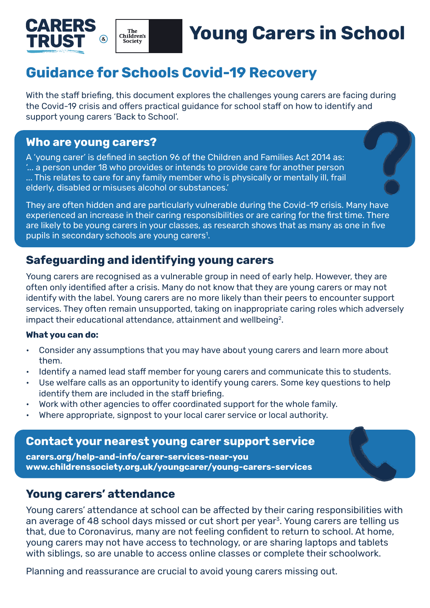



# **Young Carers in School**

# **Guidance for Schools Covid-19 Recovery**

With the staff briefing, this document explores the challenges young carers are facing during the Covid-19 crisis and offers practical guidance for school staff on how to identify and support young carers 'Back to School'.

#### **Who are young carers?**

A 'young carer' is defined in section 96 of the Children and Families Act 2014 as: '... a person under 18 who provides or intends to provide care for another person ... This relates to care for any family member who is physically or mentally ill, frail elderly, disabled or misuses alcohol or substances.'

They are often hidden and are particularly vulnerable during the Covid-19 crisis. Many have experienced an increase in their caring responsibilities or are caring for the first time. There are likely to be young carers in your classes, as research shows that as many as one in five pupils in secondary schools are young carers<sup>1</sup>.

# **Safeguarding and identifying young carers**

Young carers are recognised as a vulnerable group in need of early help. However, they are often only identified after a crisis. Many do not know that they are young carers or may not identify with the label. Young carers are no more likely than their peers to encounter support services. They often remain unsupported, taking on inappropriate caring roles which adversely impact their educational attendance, attainment and wellbeing<sup>2</sup>.

#### **What you can do:**

- Consider any assumptions that you may have about young carers and learn more about them.
- Identify a named lead staff member for young carers and communicate this to students.
- Use welfare calls as an opportunity to identify young carers. Some key questions to help identify them are included in the staff briefing.
- Work with other agencies to offer coordinated support for the whole family.
- Where appropriate, signpost to your local carer service or local authority.

#### **Contact your nearest young carer support service**

**[carers.org/help-and-info/carer-services-near-you](http://carers.org/help-and-info/carer-services-near-you) [www.childrenssociety.org.uk/youngcarer/young-carers-services](http://www.childrenssociety.org.uk/youngcarer/young-carers-services)**

### **Young carers' attendance**

Young carers' attendance at school can be affected by their caring responsibilities with an average of 48 school days missed or cut short per year<sup>3</sup>. Young carers are telling us that, due to Coronavirus, many are not feeling confident to return to school. At home, young carers may not have access to technology, or are sharing laptops and tablets with siblings, so are unable to access online classes or complete their schoolwork.

Planning and reassurance are crucial to avoid young carers missing out.